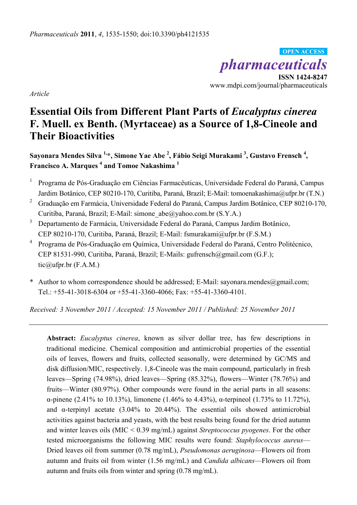*pharmaceuticals*  **ISSN 1424-8247 OPEN ACCESS** 

www.mdpi.com/journal/pharmaceuticals

*Article* 

# **Essential Oils from Different Plant Parts of** *Eucalyptus cinerea* **F. Muell. ex Benth. (Myrtaceae) as a Source of 1,8-Cineole and Their Bioactivities**

**Sayonara Mendes Silva 1,\*, Simone Yae Abe 2 , Fábio Seigi Murakami 3 , Gustavo Frensch <sup>4</sup> , Francisco A. Marques <sup>4</sup> and Tomoe Nakashima 1**

- 1 Programa de Pós-Graduação em Ciências Farmacêuticas, Universidade Federal do Paraná, Campus Jardim Botânico, CEP 80210-170, Curitiba, Paraná, Brazil; E-Mail: tomoenakashima@ufpr.br (T.N.)
- 2 Graduação em Farmácia, Universidade Federal do Paraná, Campus Jardim Botânico, CEP 80210-170, Curitiba, Paraná, Brazil; E-Mail: simone\_abe@yahoo.com.br (S.Y.A.)
- 3 Departamento de Farmácia, Universidade Federal do Paraná, Campus Jardim Botânico, CEP 80210-170, Curitiba, Paraná, Brazil; E-Mail: fsmurakami@ufpr.br (F.S.M.)
- 4 Programa de Pós-Graduação em Química, Universidade Federal do Paraná, Centro Politécnico, CEP 81531-990, Curitiba, Paraná, Brazil; E-Mails: gufrensch@gmail.com (G.F.); tic@ufpr.br  $(F.A.M.)$
- \* Author to whom correspondence should be addressed; E-Mail: sayonara.mendes@gmail.com; Tel.: +55-41-3018-6304 or +55-41-3360-4066; Fax: +55-41-3360-4101.

*Received: 3 November 2011 / Accepted: 15 November 2011 / Published: 25 November 2011* 

**Abstract:** *Eucalyptus cinerea*, known as silver dollar tree, has few descriptions in traditional medicine. Chemical composition and antimicrobial properties of the essential oils of leaves, flowers and fruits, collected seasonally, were determined by GC/MS and disk diffusion/MIC, respectively. 1,8-Cineole was the main compound, particularly in fresh leaves—Spring (74.98%), dried leaves—Spring (85.32%), flowers—Winter (78.76%) and fruits—Winter (80.97%). Other compounds were found in the aerial parts in all seasons: α-pinene (2.41% to 10.13%), limonene (1.46% to 4.43%), α-terpineol (1.73% to 11.72%), and  $\alpha$ -terpinyl acetate (3.04% to 20.44%). The essential oils showed antimicrobial activities against bacteria and yeasts, with the best results being found for the dried autumn and winter leaves oils (MIC < 0.39 mg/mL) against *Streptococcus pyogenes*. For the other tested microorganisms the following MIC results were found: *Staphylococcus aureus*— Dried leaves oil from summer (0.78 mg/mL), *Pseudomonas aeruginosa*—Flowers oil from autumn and fruits oil from winter (1.56 mg/mL) and *Candida albicans*—Flowers oil from autumn and fruits oils from winter and spring (0.78 mg/mL).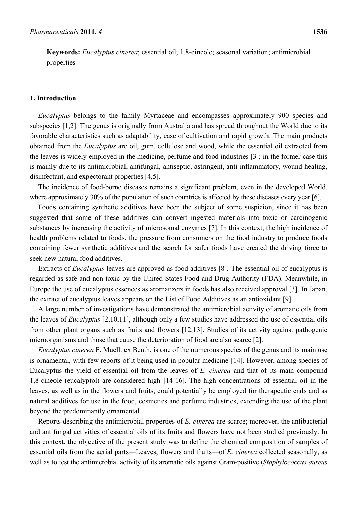**Keywords:** *Eucalyptus cinerea*; essential oil; 1,8-cineole; seasonal variation; antimicrobial properties

# **1. Introduction**

*Eucalyptus* belongs to the family Myrtaceae and encompasses approximately 900 species and subspecies [1,2]. The genus is originally from Australia and has spread throughout the World due to its favorable characteristics such as adaptability, ease of cultivation and rapid growth. The main products obtained from the *Eucalyptus* are oil, gum, cellulose and wood, while the essential oil extracted from the leaves is widely employed in the medicine, perfume and food industries [3]; in the former case this is mainly due to its antimicrobial, antifungal, antiseptic, astringent, anti-inflammatory, wound healing, disinfectant, and expectorant properties [4,5].

The incidence of food-borne diseases remains a significant problem, even in the developed World, where approximately 30% of the population of such countries is affected by these diseases every year [6].

Foods containing synthetic additives have been the subject of some suspicion, since it has been suggested that some of these additives can convert ingested materials into toxic or carcinogenic substances by increasing the activity of microsomal enzymes [7]. In this context, the high incidence of health problems related to foods, the pressure from consumers on the food industry to produce foods containing fewer synthetic additives and the search for safer foods have created the driving force to seek new natural food additives.

Extracts of *Eucalyptus* leaves are approved as food additives [8]. The essential oil of eucalyptus is regarded as safe and non-toxic by the United States Food and Drug Authority (FDA). Meanwhile, in Europe the use of eucalyptus essences as aromatizers in foods has also received approval [3]. In Japan, the extract of eucalyptus leaves appears on the List of Food Additives as an antioxidant [9].

A large number of investigations have demonstrated the antimicrobial activity of aromatic oils from the leaves of *Eucalyptus* [2,10,11], although only a few studies have addressed the use of essential oils from other plant organs such as fruits and flowers [12,13]. Studies of its activity against pathogenic microorganisms and those that cause the deterioration of food are also scarce [2].

*Eucalyptus cinerea* F. Muell. ex Benth. is one of the numerous species of the genus and its main use is ornamental, with few reports of it being used in popular medicine [14]. However, among species of Eucalyptus the yield of essential oil from the leaves of *E. cinerea* and that of its main compound 1,8-cineole (eucalyptol) are considered high [14-16]. The high concentrations of essential oil in the leaves, as well as in the flowers and fruits, could potentially be employed for therapeutic ends and as natural additives for use in the food, cosmetics and perfume industries, extending the use of the plant beyond the predominantly ornamental.

Reports describing the antimicrobial properties of *E. cinerea* are scarce; moreover, the antibacterial and antifungal activities of essential oils of its fruits and flowers have not been studied previously. In this context, the objective of the present study was to define the chemical composition of samples of essential oils from the aerial parts—Leaves, flowers and fruits—of *E. cinerea* collected seasonally, as well as to test the antimicrobial activity of its aromatic oils against Gram-positive (*Staphylococcus aureus*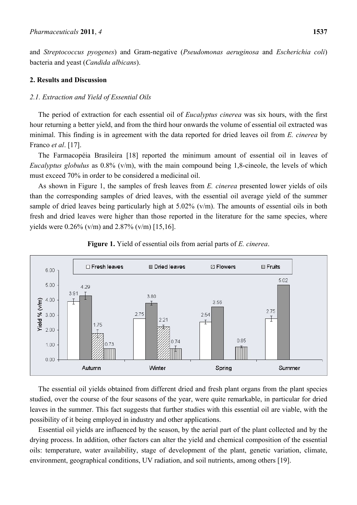and *Streptococcus pyogenes*) and Gram-negative (*Pseudomonas aeruginosa* and *Escherichia coli*) bacteria and yeast (*Candida albicans*).

# **2. Results and Discussion**

# *2.1. Extraction and Yield of Essential Oils*

The period of extraction for each essential oil of *Eucalyptus cinerea* was six hours, with the first hour returning a better yield, and from the third hour onwards the volume of essential oil extracted was minimal. This finding is in agreement with the data reported for dried leaves oil from *E. cinerea* by Franco *et al*. [17].

The Farmacopéia Brasileira [18] reported the minimum amount of essential oil in leaves of *Eucalyptus globulus* as 0.8% (v/m), with the main compound being 1,8-cineole, the levels of which must exceed 70% in order to be considered a medicinal oil.

As shown in Figure 1, the samples of fresh leaves from *E. cinerea* presented lower yields of oils than the corresponding samples of dried leaves, with the essential oil average yield of the summer sample of dried leaves being particularly high at 5.02% (v/m). The amounts of essential oils in both fresh and dried leaves were higher than those reported in the literature for the same species, where yields were 0.26% (v/m) and 2.87% (v/m) [15,16].





The essential oil yields obtained from different dried and fresh plant organs from the plant species studied, over the course of the four seasons of the year, were quite remarkable, in particular for dried leaves in the summer. This fact suggests that further studies with this essential oil are viable, with the possibility of it being employed in industry and other applications.

Essential oil yields are influenced by the season, by the aerial part of the plant collected and by the drying process. In addition, other factors can alter the yield and chemical composition of the essential oils: temperature, water availability, stage of development of the plant, genetic variation, climate, environment, geographical conditions, UV radiation, and soil nutrients, among others [19].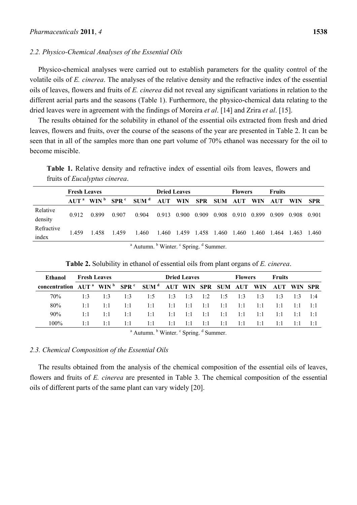#### *2.2. Physico-Chemical Analyses of the Essential Oils*

Physico-chemical analyses were carried out to establish parameters for the quality control of the volatile oils of *E. cinerea*. The analyses of the relative density and the refractive index of the essential oils of leaves, flowers and fruits of *E. cinerea* did not reveal any significant variations in relation to the different aerial parts and the seasons (Table 1). Furthermore, the physico-chemical data relating to the dried leaves were in agreement with the findings of Moreira *et al*. [14] and Zrira *et al*. [15].

The results obtained for the solubility in ethanol of the essential oils extracted from fresh and dried leaves, flowers and fruits, over the course of the seasons of the year are presented in Table 2. It can be seen that in all of the samples more than one part volume of 70% ethanol was necessary for the oil to become miscible.

**Table 1.** Relative density and refractive index of essential oils from leaves, flowers and fruits of *Eucalyptus cinerea*.

|                                                              | <b>Fresh Leaves</b> |       |       |                                                                                         | <b>Dried Leaves</b> |             |       |                         | <b>Flowers</b> |       |       | <b>Fruits</b> |       |  |
|--------------------------------------------------------------|---------------------|-------|-------|-----------------------------------------------------------------------------------------|---------------------|-------------|-------|-------------------------|----------------|-------|-------|---------------|-------|--|
|                                                              |                     |       |       | AUT <sup>a</sup> WIN <sup>b</sup> SPR <sup>c</sup> SUM <sup>d</sup> AUT WIN SPR SUM AUT |                     |             |       |                         |                | WIN   | AUT   | <b>WIN</b>    | – SPR |  |
| Relative<br>density                                          | 0.912               | 0.899 | 0.907 | 0.904                                                                                   |                     | 0.913 0.900 | 0.909 | 0.908 0.910             |                | 0.899 | 0.909 | 0.908         | 0.901 |  |
| Refractive<br>index                                          | 1459                | 1458  | 1459  | 1.460                                                                                   | 1.460               |             |       | 1.459 1.458 1.460 1.460 |                | 1.460 | 1.464 | 1.463 1.460   |       |  |
| $\alpha$ Autumn $\beta$ Winter $\beta$ Curing $\beta$ Cummon |                     |       |       |                                                                                         |                     |             |       |                         |                |       |       |               |       |  |

Autumn. <sup>b</sup> Winter. <sup>c</sup> Spring. <sup>d</sup> Summer.

| Ethanol                                                                                               | <b>Fresh Leaves</b> |             |             |                                                       |             | <b>Dried Leaves</b> |        |             | <b>Flowers</b> |             | <b>Fruits</b>         |              |                       |
|-------------------------------------------------------------------------------------------------------|---------------------|-------------|-------------|-------------------------------------------------------|-------------|---------------------|--------|-------------|----------------|-------------|-----------------------|--------------|-----------------------|
| concentration AUT <sup>a</sup> WIN <sup>b</sup> SPR <sup>c</sup> SUM <sup>d</sup> AUT WIN SPR SUM AUT |                     |             |             |                                                       |             |                     |        |             |                | WIN         | AUT WIN SPR           |              |                       |
| 70%                                                                                                   | 1.3                 | 1.3         | 1.3         | 1.5                                                   | 1.3         | 1.3                 | 1.2    | 1.5         | 1.3            | 1.3         | 1.3                   | 1.3          | 1.4                   |
| 80%                                                                                                   | $1 \cdot 1$         | $1 \cdot 1$ | $1 \cdot 1$ | $1 \cdot 1$                                           | 1:1         | $-1:1$              | 1:1    | $1 \cdot 1$ | 1:1            | $1 \cdot 1$ | 1:1                   | 1:1          | $1 \cdot 1$           |
| 90%                                                                                                   | $1 \cdot 1$         | $1 \cdot 1$ | $1 \cdot 1$ | $1 \cdot 1$                                           | $1 \cdot 1$ | 1:1                 | $-1:1$ | $1 \cdot 1$ | 1:1            | $1 \cdot 1$ | $1 \cdot 1$           | 1:1          | $\lceil \cdot \rceil$ |
| $100\%$                                                                                               | $1 \cdot 1$         | 1:1         | 1:1         | 1:1                                                   | 1:1         | 1:1                 | 1:1    | $1 \cdot 1$ | -1:1           | 1:1         | $\lceil \cdot \rceil$ | $\mathbf{E}$ | 1:1                   |
|                                                                                                       |                     |             |             | $\overline{a}$ , here $\overline{a}$ , $\overline{a}$ |             |                     |        |             |                |             |                       |              |                       |

**Table 2.** Solubility in ethanol of essential oils from plant organs of *E. cinerea*.

<sup>a</sup> Autumn. <sup>b</sup> Winter. <sup>c</sup> Spring. <sup>d</sup> Summer.

#### *2.3. Chemical Composition of the Essential Oils*

The results obtained from the analysis of the chemical composition of the essential oils of leaves, flowers and fruits of *E. cinerea* are presented in Table 3. The chemical composition of the essential oils of different parts of the same plant can vary widely [20].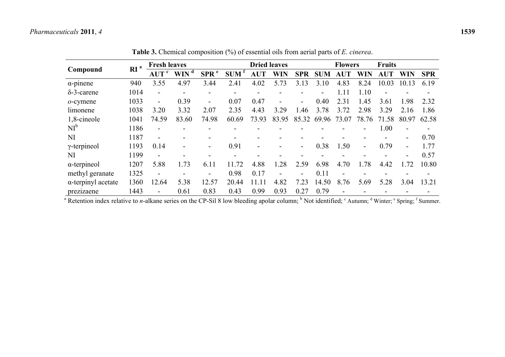|                            | a<br><b>RI</b> | <b>Fresh leaves</b>      |                    |                          | <b>Dried leaves</b> |                          |            |            |            | <b>Flowers</b>           |            |            | <b>Fruits</b>            |            |  |
|----------------------------|----------------|--------------------------|--------------------|--------------------------|---------------------|--------------------------|------------|------------|------------|--------------------------|------------|------------|--------------------------|------------|--|
| Compound                   |                | AUT <sup>c</sup>         | $WIN$ <sup>d</sup> | SPR <sup>e</sup>         | SUM <sup>t</sup>    | <b>AUT</b>               | <b>WIN</b> | <b>SPR</b> | <b>SUM</b> | AUT                      | <b>WIN</b> | <b>AUT</b> | <b>WIN</b>               | <b>SPR</b> |  |
| $\alpha$ -pinene           | 940            | 3.55                     | 4.97               | 3.44                     | 2.41                | 4.02                     | 5.73       | 3.13       | 3.10       | 4.83                     | 8.24       | 10.03      | 10.13                    | 6.19       |  |
| $\delta$ -3-carene         | 1014           | $\overline{\phantom{a}}$ |                    |                          |                     | -                        |            |            |            | 1.11                     | 1.10       |            |                          |            |  |
| $o$ -cymene                | 1033           | $\overline{\phantom{a}}$ | 0.39               | $\blacksquare$           | 0.07                | 0.47                     |            | ۰.         | 0.40       | 2.31                     | 1.45       | 3.61       | 1.98                     | 2.32       |  |
| limonene                   | 1038           | 3.20                     | 3.32               | 2.07                     | 2.35                | 4.43                     | 3.29       | .46        | 3.78       | 3.72                     | 2.98       | 3.29       | 2.16                     | 1.86       |  |
| 1,8-cineole                | 1041           | 74.59                    | 83.60              | 74.98                    | 60.69               | 73.93                    | 83.95      | 85.32      | 69.96      | 73.07                    | 78.76      | 71.58      | 80.97                    | 62.58      |  |
| $NI^b$                     | 1186           | $\blacksquare$           |                    |                          |                     |                          |            |            |            |                          |            | 1.00       |                          |            |  |
| NI                         | 1187           | $\overline{\phantom{a}}$ |                    |                          |                     |                          |            |            |            |                          |            |            | $\overline{\phantom{0}}$ | 0.70       |  |
| $\gamma$ -terpineol        | 1193           | 0.14                     |                    |                          | 0.91                | $\overline{\phantom{a}}$ |            | Ξ.         | 0.38       | 1.50                     | Ξ.         | 0.79       | $\overline{\phantom{0}}$ | 1.77       |  |
| NI                         | 1199           | $\overline{\phantom{a}}$ |                    |                          |                     |                          |            |            |            |                          |            |            | $\overline{\phantom{0}}$ | 0.57       |  |
| $\alpha$ -terpineol        | 1207           | 5.88                     | 1.73               | 6.11                     | 11.72               | 4.88                     | 1.28       | 2.59       | 6.98       | 4.70                     | 1.78       | 4.42       | 1.72                     | 10.80      |  |
| methyl geranate            | 1325           | $\overline{\phantom{a}}$ |                    | $\overline{\phantom{a}}$ | 0.98                | 0.17                     |            | -          | 0.11       | $\overline{\phantom{a}}$ |            |            |                          |            |  |
| $\alpha$ -terpinyl acetate | 1360           | 12.64                    | 5.38               | 12.57                    | 20.44               | 11 11                    | 4.82       | 7.23       | 14.50      | 8.76                     | 5.69       | 5.28       | 3.04                     | 13.21      |  |
| prezizaene                 | 1443           | $\overline{\phantom{a}}$ | 0.61               | 0.83                     | 0.43                | 0.99                     | 0.93       | 0.27       | 0.79       | $\blacksquare$           |            |            |                          |            |  |

**Table 3.** Chemical composition (%) of essential oils from aerial parts of *E. cinerea*.

<sup>a</sup> Retention index relative to *n*-alkane series on the CP-Sil 8 low bleeding apolar column; <sup>b</sup> Not identified; <sup>c</sup> Autumn; <sup>d</sup> Winter; <sup>e</sup> Spring; <sup>f</sup> Summer.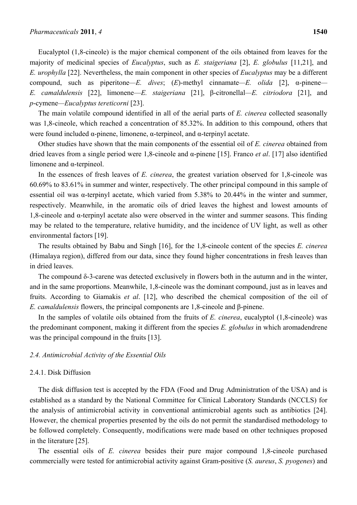Eucalyptol (1,8-cineole) is the major chemical component of the oils obtained from leaves for the majority of medicinal species of *Eucalyptus*, such as *E. staigeriana* [2], *E. globulus* [11,21], and *E. urophylla* [22]. Nevertheless, the main component in other species of *Eucalyptus* may be a different compound, such as piperitone*—E. dives*; (*E*)-methyl cinnamate*—E. olida* [2], α-pinene*— E. camaldulensis* [22], limonene—*E. staigeriana* [21], β-citronellal*—E. citriodora* [21], and *p*-cymene*—Eucalyptus tereticorni* [23].

The main volatile compound identified in all of the aerial parts of *E. cinerea* collected seasonally was 1,8-cineole, which reached a concentration of 85.32%. In addition to this compound, others that were found included  $\alpha$ -pinene, limonene,  $\alpha$ -terpineol, and  $\alpha$ -terpinyl acetate.

Other studies have shown that the main components of the essential oil of *E. cinerea* obtained from dried leaves from a single period were 1,8-cineole and α-pinene [15]. Franco *et al*. [17] also identified limonene and α-terpineol.

In the essences of fresh leaves of *E. cinerea*, the greatest variation observed for 1,8-cineole was 60.69% to 83.61% in summer and winter, respectively. The other principal compound in this sample of essential oil was  $\alpha$ -terpinyl acetate, which varied from 5.38% to 20.44% in the winter and summer, respectively. Meanwhile, in the aromatic oils of dried leaves the highest and lowest amounts of 1,8-cineole and α-terpinyl acetate also were observed in the winter and summer seasons. This finding may be related to the temperature, relative humidity, and the incidence of UV light, as well as other environmental factors [19].

The results obtained by Babu and Singh [16], for the 1,8-cineole content of the species *E. cinerea* (Himalaya region), differed from our data, since they found higher concentrations in fresh leaves than in dried leaves.

The compound  $\delta$ -3-carene was detected exclusively in flowers both in the autumn and in the winter, and in the same proportions. Meanwhile, 1,8-cineole was the dominant compound, just as in leaves and fruits. According to Giamakis *et al*. [12], who described the chemical composition of the oil of *E. camaldulensis* flowers, the principal components are 1,8-cineole and β-pinene.

In the samples of volatile oils obtained from the fruits of *E. cinerea*, eucalyptol (1,8-cineole) was the predominant component, making it different from the species *E. globulus* in which aromadendrene was the principal compound in the fruits [13].

#### *2.4. Antimicrobial Activity of the Essential Oils*

## 2.4.1. Disk Diffusion

The disk diffusion test is accepted by the FDA (Food and Drug Administration of the USA) and is established as a standard by the National Committee for Clinical Laboratory Standards (NCCLS) for the analysis of antimicrobial activity in conventional antimicrobial agents such as antibiotics [24]. However, the chemical properties presented by the oils do not permit the standardised methodology to be followed completely. Consequently, modifications were made based on other techniques proposed in the literature [25].

The essential oils of *E. cinerea* besides their pure major compound 1,8-cineole purchased commercially were tested for antimicrobial activity against Gram-positive (*S. aureus*, *S. pyogenes*) and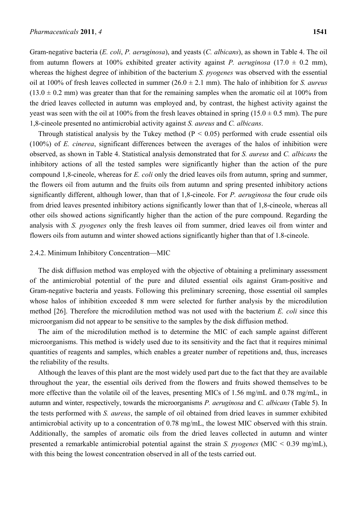Gram-negative bacteria (*E. coli*, *P. aeruginosa*), and yeasts (*C. albicans*), as shown in Table 4. The oil from autumn flowers at 100% exhibited greater activity against *P. aeruginosa* (17.0  $\pm$  0.2 mm), whereas the highest degree of inhibition of the bacterium *S. pyogenes* was observed with the essential oil at 100% of fresh leaves collected in summer (26.0 ± 2.1 mm). The halo of inhibition for *S. aureus*  $(13.0 \pm 0.2 \text{ mm})$  was greater than that for the remaining samples when the aromatic oil at 100% from the dried leaves collected in autumn was employed and, by contrast, the highest activity against the yeast was seen with the oil at 100% from the fresh leaves obtained in spring  $(15.0 \pm 0.5 \text{ mm})$ . The pure 1,8-cineole presented no antimicrobial activity against *S. aureus* and *C. albicans*.

Through statistical analysis by the Tukey method ( $P < 0.05$ ) performed with crude essential oils (100%) of *E. cinerea*, significant differences between the averages of the halos of inhibition were observed, as shown in Table 4. Statistical analysis demonstrated that for *S. aureus* and *C. albicans* the inhibitory actions of all the tested samples were significantly higher than the action of the pure compound 1,8-cineole, whereas for *E. coli* only the dried leaves oils from autumn, spring and summer, the flowers oil from autumn and the fruits oils from autumn and spring presented inhibitory actions significantly different, although lower, than that of 1,8-cineole. For *P. aeruginosa* the four crude oils from dried leaves presented inhibitory actions significantly lower than that of 1,8-cineole, whereas all other oils showed actions significantly higher than the action of the pure compound. Regarding the analysis with *S. pyogenes* only the fresh leaves oil from summer, dried leaves oil from winter and flowers oils from autumn and winter showed actions significantly higher than that of 1.8-cineole.

# 2.4.2. Minimum Inhibitory Concentration—MIC

The disk diffusion method was employed with the objective of obtaining a preliminary assessment of the antimicrobial potential of the pure and diluted essential oils against Gram-positive and Gram-negative bacteria and yeasts. Following this preliminary screening, those essential oil samples whose halos of inhibition exceeded 8 mm were selected for further analysis by the microdilution method [26]. Therefore the microdilution method was not used with the bacterium *E. coli* since this microorganism did not appear to be sensitive to the samples by the disk diffusion method.

The aim of the microdilution method is to determine the MIC of each sample against different microorganisms. This method is widely used due to its sensitivity and the fact that it requires minimal quantities of reagents and samples, which enables a greater number of repetitions and, thus, increases the reliability of the results.

Although the leaves of this plant are the most widely used part due to the fact that they are available throughout the year, the essential oils derived from the flowers and fruits showed themselves to be more effective than the volatile oil of the leaves, presenting MICs of 1.56 mg/mL and 0.78 mg/mL, in autumn and winter, respectively, towards the microorganisms *P. aeruginosa* and *C. albicans* (Table 5). In the tests performed with *S. aureus*, the sample of oil obtained from dried leaves in summer exhibited antimicrobial activity up to a concentration of 0.78 mg/mL, the lowest MIC observed with this strain. Additionally, the samples of aromatic oils from the dried leaves collected in autumn and winter presented a remarkable antimicrobial potential against the strain *S. pyogenes* (MIC < 0.39 mg/mL), with this being the lowest concentration observed in all of the tests carried out.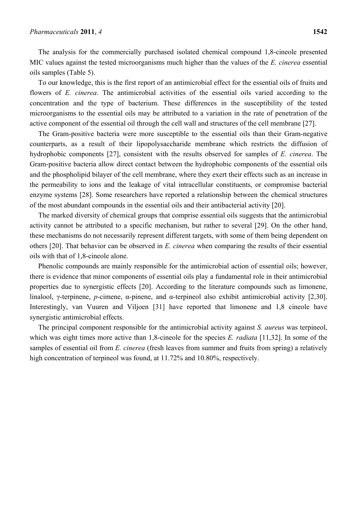The analysis for the commercially purchased isolated chemical compound 1,8-cineole presented MIC values against the tested microorganisms much higher than the values of the *E. cinerea* essential oils samples (Table 5).

To our knowledge, this is the first report of an antimicrobial effect for the essential oils of fruits and flowers of *E. cinerea*. The antimicrobial activities of the essential oils varied according to the concentration and the type of bacterium. These differences in the susceptibility of the tested microorganisms to the essential oils may be attributed to a variation in the rate of penetration of the active component of the essential oil through the cell wall and structures of the cell membrane [27].

The Gram-positive bacteria were more susceptible to the essential oils than their Gram-negative counterparts, as a result of their lipopolysaccharide membrane which restricts the diffusion of hydrophobic components [27], consistent with the results observed for samples of *E. cinerea*. The Gram-positive bacteria allow direct contact between the hydrophobic components of the essential oils and the phospholipid bilayer of the cell membrane, where they exert their effects such as an increase in the permeability to ions and the leakage of vital intracellular constituents, or compromise bacterial enzyme systems [28]. Some researchers have reported a relationship between the chemical structures of the most abundant compounds in the essential oils and their antibacterial activity [20].

The marked diversity of chemical groups that comprise essential oils suggests that the antimicrobial activity cannot be attributed to a specific mechanism, but rather to several [29]. On the other hand, these mechanisms do not necessarily represent different targets, with some of them being dependent on others [20]. That behavior can be observed in *E. cinerea* when comparing the results of their essential oils with that of 1,8-cineole alone.

Phenolic compounds are mainly responsible for the antimicrobial action of essential oils; however, there is evidence that minor components of essential oils play a fundamental role in their antimicrobial properties due to synergistic effects [20]. According to the literature compounds such as limonene, linalool, γ-terpinene, *p*-cimene, α-pinene, and α-terpineol also exhibit antimicrobial activity [2,30]. Interestingly, van Vuuren and Viljoen [31] have reported that limonene and 1,8 cineole have synergistic antimicrobial effects.

The principal component responsible for the antimicrobial activity against *S. aureus* was terpineol, which was eight times more active than 1,8-cineole for the species *E. radiata* [11,32]. In some of the samples of essential oil from *E. cinerea* (fresh leaves from summer and fruits from spring) a relatively high concentration of terpineol was found, at 11.72% and 10.80%, respectively.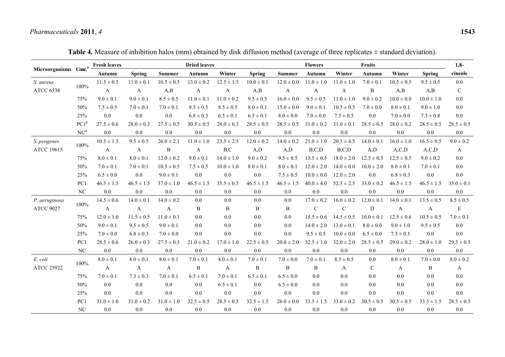|                                   |                  | <b>Fresh leaves</b> |                |                | <b>Dried leaves</b> |                |                | <b>Flowers</b><br><b>Fruits</b> |                |                |                |                |                | $1,8-$         |
|-----------------------------------|------------------|---------------------|----------------|----------------|---------------------|----------------|----------------|---------------------------------|----------------|----------------|----------------|----------------|----------------|----------------|
| Microorganisms Conc. <sup>a</sup> |                  | Autumn              | <b>Spring</b>  | Summer         | Autumn              | Winter         | <b>Spring</b>  | <b>Summer</b>                   | Autumn         | Winter         | Autumn         | Winter         | <b>Spring</b>  | cineole        |
| S. aureus                         |                  | $11.5 \pm 0.5$      | $11.0 \pm 0.1$ | $10.5 \pm 0.5$ | $13.0 \pm 0.2$      | $12.5 \pm 1.5$ | $10.0 \pm 0.1$ | $12.0 \pm 0.0$                  | $11.0 \pm 1.0$ | $11.0 \pm 1.0$ | $7.0 \pm 0.1$  | $10.5 \pm 0.5$ | $9.5 \pm 0.5$  | 0.0            |
| <b>ATCC 6538</b>                  | 100%             | A                   | A              | A,B            | A                   | A              | A,B            | A                               | A              | A              | B              | A,B            | A,B            | $\mathbf C$    |
|                                   | 75%              | $9.0 \pm 0.1$       | $9.0 \pm 0.1$  | $8.5 \pm 0.5$  | $11.0 \pm 0.1$      | $11.0 \pm 0.2$ | $9.5 \pm 0.5$  | $16.0 \pm 0.0$                  | $9.5 \pm 0.5$  | $11.0 \pm 1.0$ | $9.0 \pm 0.2$  | $10.0 \pm 0.0$ | $10.0 \pm 1.0$ | $0.0\,$        |
|                                   | 50%              | $7.5 \pm 0.5$       | $7.0 \pm 0.1$  | $7.0 \pm 0.1$  | $9.5 \pm 0.5$       | $8.5 \pm 0.5$  | $8.0 \pm 0.1$  | $15.0 \pm 0.0$                  | $9.0 \pm 0.1$  | $10.5 \pm 0.5$ | $7.0 \pm 0.0$  | $8.0 \pm 0.1$  | $9.0 \pm 1.0$  | 0.0            |
|                                   | 25%              | $0.0\,$             | $0.0\,$        | 0.0            | $6.8 \pm 0.3$       | $6.5 \pm 0.1$  | $6.5 \pm 0.1$  | $8.0 \pm 0.0$                   | $7.0 \pm 0.0$  | $7.5 \pm 0.5$  | 0.0            | $7.0 \pm 0.0$  | $7.3 \pm 0.8$  | $0.0\,$        |
|                                   | $PC1^b$          | $27.5 \pm 0.6$      | $28.0 \pm 0.3$ | $27.5 \pm 0.5$ | $30.5 \pm 0.5$      | $28.0 \pm 0.3$ | $28.5 \pm 0.5$ | $28.5 \pm 0.5$                  | $31.0 \pm 0.2$ | $31.0 \pm 0.1$ | $28.5 \pm 0.5$ | $28.0 \pm 0.2$ | $28.5 \pm 0.5$ | $28.5 \pm 0.5$ |
|                                   | NC <sup>d</sup>  | $0.0\,$             | $0.0\,$        | $0.0\,$        | $0.0\,$             | $0.0\,$        | $0.0\,$        | $0.0\,$                         | 0.0            | 0.0            | $0.0\,$        | $0.0\,$        | $0.0\,$        | $0.0\,$        |
| S. pyogenes                       |                  | $10.5 \pm 1.5$      | $9.5 \pm 0.5$  | $26.0 \pm 2.1$ | $11.0 \pm 1.0$      | $23.5 \pm 2.5$ | $12.0 \pm 0.2$ | $14.0 \pm 0.2$                  | $21.0 \pm 1.0$ | $20.5 \pm 4.5$ | $14.0 \pm 0.1$ | $16.0 \pm 1.0$ | $16.5 \pm 0.5$ | $9.0 \pm 0.2$  |
| <b>ATCC 19615</b>                 | 100%             | $\mathbf{A}$        | $\mathbf{A}$   | $\, {\bf B}$   | $\mathbf{A}$        | B, C           | A,D            | A,D                             | B, C, D        | B, C, D        | A, D           | A, C, D        | A, C, D        | $\mathbf{A}$   |
|                                   | 75%              | $8.0 \pm 0.1$       | $8.0 \pm 0.1$  | $12.0 \pm 0.2$ | $9.0 \pm 0.1$       | $14.0 \pm 1.0$ | $9.0 \pm 0.2$  | $9.5 \pm 0.5$                   | $13.5 \pm 0.5$ | $18.0 \pm 2.0$ | $12.5 \pm 0.5$ | $12.5 \pm 0.5$ | $9.0 \pm 0.2$  | 0.0            |
|                                   | 50%              | $7.0 \pm 0.1$       | $7.0 \pm 0.1$  | $10.5 \pm 0.5$ | $7.5 \pm 0.5$       | $10.0 \pm 1.0$ | $8.0 \pm 0.1$  | $8.0 \pm 0.1$                   | $12.0 \pm 2.0$ | $14.0 \pm 0.0$ | $10.0 \pm 2.0$ | $8.0 \pm 0.1$  | $7.0 \pm 0.1$  | 0.0            |
|                                   | 25%              | $6.5 \pm 0.0$       | 0.0            | $9.0 \pm 0.1$  | 0.0                 | 0.0            | 0.0            | $7.5 \pm 0.5$                   | $10.0 \pm 0.0$ | $12.0 \pm 2.0$ | $0.0\,$        | $6.8 \pm 0.3$  | $0.0\,$        | $0.0\,$        |
|                                   | PC1              | $46.5 \pm 1.5$      | $46.5 \pm 1.5$ | $37.0 \pm 1.0$ | $46.5 \pm 1.5$      | $35.5 \pm 0.5$ | $46.5 \pm 1.5$ | $46.5 \pm 1.5$                  | $40.0 \pm 4.0$ | $52.5 \pm 2.5$ | $33.0 \pm 0.2$ | $46.5 \pm 1.5$ | $46.5 \pm 1.5$ | $35.0 \pm 0.1$ |
|                                   | $_{\mathrm{NC}}$ | $0.0\,$             | $0.0\,$        | $0.0\,$        | 0.0                 | 0.0            | $0.0\,$        | $0.0\,$                         | 0.0            | 0.0            | $0.0\,$        | $0.0\,$        | $0.0\,$        | $0.0\,$        |
| P. aeruginosa                     |                  | $14.5 \pm 0.6$      | $14.0 \pm 0.1$ | $14.0 \pm 0.2$ | 0.0                 | 0.0            | 0.0            | 0.0                             | $17.0 \pm 0.2$ | $16.0 \pm 0.2$ | $12.0 \pm 0.1$ | $14.0 \pm 0.1$ | $13.5 \pm 0.5$ | $8.5 \pm 0.5$  |
| <b>ATCC 9027</b>                  | 100%             | $\mathbf{A}$        | $\mathbf{A}$   | A              | $\, {\bf B}$        | $\, {\bf B}$   | $\bf{B}$       | $\, {\bf B}$                    | ${\bf C}$      | $\mathbf C$    | D              | A              | A              | ${\bf E}$      |
|                                   | 75%              | $12.0 \pm 1.0$      | $11.5 \pm 0.5$ | $11.0 \pm 0.1$ | 0.0                 | 0.0            | 0.0            | 0.0                             | $15.5 \pm 0.6$ | $14.5 \pm 0.5$ | $10.0 \pm 0.1$ | $12.5 \pm 0.6$ | $10.5 \pm 0.5$ | $7.0 \pm 0.1$  |
|                                   | 50%              | $9.0 \pm 0.1$       | $9.5 \pm 0.5$  | $9.0 \pm 0.1$  | 0.0                 | 0.0            | 0.0            | 0.0                             | $14.0 \pm 2.0$ | $13.0 \pm 0.1$ | $8.0 \pm 0.0$  | $9.0 \pm 1.0$  | $9.5 \pm 0.5$  | $0.0\,$        |
|                                   | 25%              | $7.0 \pm 0.0$       | $6.8 \pm 0.3$  | $7.0 \pm 0.0$  | 0.0                 | 0.0            | 0.0            | 0.0                             | $9.5 \pm 0.5$  | $10.0 \pm 0.0$ | $6.5 \pm 0.0$  | $7.5 \pm 0.5$  | $0.0\,$        | $0.0\,$        |
|                                   | PC1              | $28.5 \pm 0.6$      | $26.0 \pm 0.3$ | $27.5\pm0.5$   | $21.0 \pm 0.2$      | $17.0 \pm 1.0$ | $22.5 \pm 0.5$ | $20.0 \pm 2.0$                  | $32.5 \pm 1.0$ | $32.0 \pm 2.0$ | $28.5 \pm 0.5$ | $29.0 \pm 0.2$ | $28.0 \pm 1.0$ | $29.5 \pm 0.5$ |
|                                   | $_{\mathrm{NC}}$ | $0.0\,$             | $0.0\,$        | $0.0\,$        | 0.0                 | 0.0            | $0.0\,$        | $0.0\,$                         | 0.0            | 0.0            | $0.0\,$        | $0.0\,$        | $0.0\,$        | $0.0\,$        |
| E. coli                           | 100%             | $8.0 \pm 0.1$       | $8.0 \pm 0.1$  | $8.0 \pm 0.1$  | $7.0 \pm 0.1$       | $8.0 \pm 0.1$  | $7.0 \pm 0.1$  | $7.0 \pm 0.0$                   | $7.0 \pm 0.1$  | $8.5 \pm 0.5$  | 0.0            | $8.0 \pm 0.1$  | $7.0 \pm 0.0$  | $8.0 \pm 0.2$  |
| <b>ATCC 25922</b>                 |                  | $\mathbf{A}$        | A              | A              | B                   | A              | B              | $\, {\bf B}$                    | $\, {\bf B}$   | A              | ${\bf C}$      | A              | $\, {\bf B}$   | A              |
|                                   | 75%              | $7.0 \pm 0.1$       | $7.3 \pm 0.3$  | $7.0 \pm 0.1$  | $6.5 \pm 0.1$       | $7.0 \pm 0.1$  | $6.5 \pm 0.1$  | $6.5 \pm 0.0$                   | 0.0            | 0.0            | 0.0            | 0.0            | 0.0            | $0.0\,$        |
|                                   | 50%              | 0.0                 | 0.0            | 0.0            | 0.0                 | $6.5 \pm 0.1$  | 0.0            | $6.5 \pm 0.0$                   | 0.0            | 0.0            | 0.0            | 0.0            | 0.0            | $0.0\,$        |
|                                   | 25%              | $0.0\,$             | $0.0\,$        | 0.0            | 0.0                 | $0.0\,$        | 0.0            | $0.0\,$                         | 0.0            | 0.0            | 0.0            | $0.0\,$        | $0.0\,$        | $0.0\,$        |
|                                   | PC1              | $31.0 \pm 1.0$      | $31.0 \pm 0.2$ | $31.0 \pm 1.0$ | $32.5 \pm 0.5$      | $28.5 \pm 0.5$ | $32.5 \pm 1.5$ | $26.0 \pm 0.0$                  | $33.5 \pm 1.5$ | $33.0 \pm 0.2$ | $30.5 \pm 0.5$ | $30.5 \pm 0.5$ | $33.5 \pm 1.5$ | $28.5 \pm 0.5$ |
|                                   | $\rm NC$         | $0.0\,$             | 0.0            | 0.0            | 0.0                 | 0.0            | 0.0            | 0.0                             | 0.0            | 0.0            | 0.0            | 0.0            | 0.0            | $0.0\,$        |

Table 4. Measure of inhibition halos (mm) obtained by disk diffusion method (average of three replicates  $\pm$  standard deviation).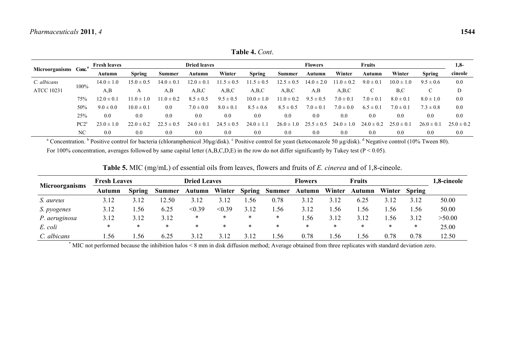|                   |                  | <b>Fresh leaves</b> |                | <b>Dried leaves</b> |                |                | <b>Fruits</b><br><b>Flowers</b> |                |                |                |                |                |                |                |
|-------------------|------------------|---------------------|----------------|---------------------|----------------|----------------|---------------------------------|----------------|----------------|----------------|----------------|----------------|----------------|----------------|
| Microorganisms    | Conc.            | Autumn              | <b>Spring</b>  | <b>Summer</b>       | Autumn         | Winter         | <b>Spring</b>                   | <b>Summer</b>  | Autumn         | Winter         | Autumn         | Winter         | <b>Spring</b>  | cineole        |
| C. albicans       |                  | $14.0 \pm 1.0$      | $15.0 \pm 0.5$ | $14.0 \pm 0.1$      | $12.0 \pm 0.1$ | $11.5 \pm 0.5$ | $11.5 \pm 0.5$                  | $12.5 \pm 0.5$ | $14.0 \pm 2.0$ | $11.0 \pm 0.2$ | $9.0 \pm 0.1$  | $10.0 \pm 1.0$ | $9.5 \pm 0.6$  | 0.0            |
| <b>ATCC 10231</b> | 100%             | A,B                 | А              | A.B                 | A,B,C          | A,B,C          | A,B,C                           | A,B,C          | A,B            | A,B,C          |                | B.C            |                | D              |
|                   | 75%              | $12.0 \pm 0.1$      | $11.0 \pm 1.0$ | $1.0 \pm 0.2$       | $8.5 \pm 0.5$  | $9.5 \pm 0.5$  | $10.0 \pm 1.0$                  | $11.0 \pm 0.2$ | $9.5 \pm 0.5$  | $7.0 \pm 0.1$  | $7.0 \pm 0.1$  | $8.0 \pm 0.1$  | $8.0 \pm 1.0$  | 0.0            |
|                   | 50%              | $9.0 \pm 0.0$       | $10.0 \pm 0.1$ | 0.0                 | $7.0 \pm 0.0$  | $8.0 \pm 0.1$  | $8.5 \pm 0.6$                   | $8.5 \pm 0.5$  | $7.0 \pm 0.1$  | $7.0 \pm 0.0$  | $6.5 \pm 0.1$  | $7.0 \pm 0.1$  | $7.3 \pm 0.8$  | 0.0            |
|                   | 25%              | 0.0                 | 0.0            | 0.0                 | 0.0            | 0.0            | 0.0                             | 0.0            | 0.0            | 0.0            | 0.0            | 0.0            | 0.0            | 0.0            |
|                   | PC2 <sup>c</sup> | $23.0 \pm 1.0$      | $22.0 \pm 0.2$ | $22.5 \pm 0.5$      | $24.0 \pm 0.1$ | $24.5 \pm 0.5$ | $24.0 \pm 1.1$                  | $26.0 \pm 1.0$ | $25.5 \pm 0.5$ | $24.0 \pm 1.0$ | $24.0 \pm 0.2$ | $25.0 \pm 0.1$ | $26.0 \pm 0.1$ | $25.0 \pm 0.2$ |
|                   | NC               | 0.0                 | 0.0            | 0.0                 | 0.0            | 0.0            | 0.0                             | 0.0            | 0.0            | 0.0            | 0.0            | 0.0            | 0.0            | 0.0            |

**Table 4.** *Cont*.

<sup>a</sup> Concentration. <sup>b</sup> Positive control for bacteria (chloramphenicol 30µg/disk). <sup>c</sup> Positive control for yeast (ketoconazole 50 µg/disk). <sup>d</sup> Negative control (10% Tween 80). For 100% concentration, averages followed by same capital letter  $(A, B, C, D, E)$  in the row do not differ significantly by Tukey test (P < 0.05).

|  |  |  |  | <b>Table 5.</b> MIC (mg/mL) of essential oils from leaves, flowers and fruits of <i>E. cinerea</i> and of 1,8-cineole. |
|--|--|--|--|------------------------------------------------------------------------------------------------------------------------|
|--|--|--|--|------------------------------------------------------------------------------------------------------------------------|

| <b>Microorganisms</b> | <b>Fresh Leaves</b> |               | <b>Dried Leaves</b> |        |        |               | <b>Flowers</b> |        |        | <b>Fruits</b> | 1,8-cineole |               |        |
|-----------------------|---------------------|---------------|---------------------|--------|--------|---------------|----------------|--------|--------|---------------|-------------|---------------|--------|
|                       | Autumn              | <b>Spring</b> | <b>Summer</b>       | Autumn | Winter | <b>Spring</b> | <b>Summer</b>  | Autumn | Winter | Autumn        | Winter      | <b>Spring</b> |        |
| S. aureus             | 3.12                | 3.12          | 2.50                | 3.12   | 3.12   | .56           | 0.78           | 3.12   | 3.12   | 6.25          | 3.12        | 3.12          | 50.00  |
| S. pyogenes           | 3.12                | .56           | 6.25                | < 0.39 | < 0.39 | 3.12          | .56            | 3.12   | .56    | .56           | .56         | .56           | 50.00  |
| P. aeruginosa         | 3.12                | 3.12          | 3.12                | ∗      | *      | ∗             | *              | .56    | 3.12   | 3.12          | .56         | 3.12          | >50.00 |
| E. coli               | *                   | *             | $\ast$              | *      | $\ast$ | ∗             | *              | ∗      | *      | ∗             | *           | *             | 25.00  |
| C. albicans           | .56                 | .56           | 6.25                | 3.12   | 3.12   | 3.12          | . . 56         | 0.78   | . 56   | .56           | 0.78        | 0.78          | 12.50  |

\* MIC not performed because the inhibition halos < 8 mm in disk diffusion method; Average obtained from three replicates with standard deviation zero.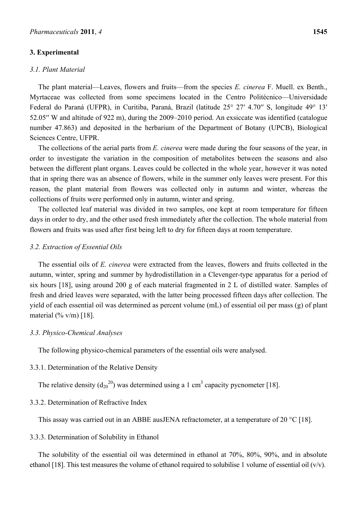# **3. Experimental**

# *3.1. Plant Material*

The plant material—Leaves, flowers and fruits—from the species *E. cinerea* F. Muell. ex Benth., Myrtaceae was collected from some specimens located in the Centro Politécnico—Universidade Federal do Paraná (UFPR), in Curitiba, Paraná, Brazil (latitude 25° 27′ 4.70′′ S, longitude 49° 13′ 52.05′′ W and altitude of 922 m), during the 2009–2010 period. An exsiccate was identified (catalogue number 47.863) and deposited in the herbarium of the Department of Botany (UPCB), Biological Sciences Centre, UFPR.

The collections of the aerial parts from *E. cinerea* were made during the four seasons of the year, in order to investigate the variation in the composition of metabolites between the seasons and also between the different plant organs. Leaves could be collected in the whole year, however it was noted that in spring there was an absence of flowers, while in the summer only leaves were present. For this reason, the plant material from flowers was collected only in autumn and winter, whereas the collections of fruits were performed only in autumn, winter and spring.

The collected leaf material was divided in two samples, one kept at room temperature for fifteen days in order to dry, and the other used fresh immediately after the collection. The whole material from flowers and fruits was used after first being left to dry for fifteen days at room temperature.

## *3.2. Extraction of Essential Oils*

The essential oils of *E. cinerea* were extracted from the leaves, flowers and fruits collected in the autumn, winter, spring and summer by hydrodistillation in a Clevenger-type apparatus for a period of six hours [18], using around 200 g of each material fragmented in 2 L of distilled water. Samples of fresh and dried leaves were separated, with the latter being processed fifteen days after collection. The yield of each essential oil was determined as percent volume (mL) of essential oil per mass (g) of plant material  $(\frac{6}{6} \text{ v/m})$  [18].

#### *3.3. Physico-Chemical Analyses*

The following physico-chemical parameters of the essential oils were analysed.

#### 3.3.1. Determination of the Relative Density

The relative density  $(d_{20}^{20})$  was determined using a 1 cm<sup>3</sup> capacity pycnometer [18].

## 3.3.2. Determination of Refractive Index

This assay was carried out in an ABBE ausJENA refractometer, at a temperature of 20 °C [18].

3.3.3. Determination of Solubility in Ethanol

The solubility of the essential oil was determined in ethanol at 70%, 80%, 90%, and in absolute ethanol [18]. This test measures the volume of ethanol required to solubilise 1 volume of essential oil  $(v/v)$ .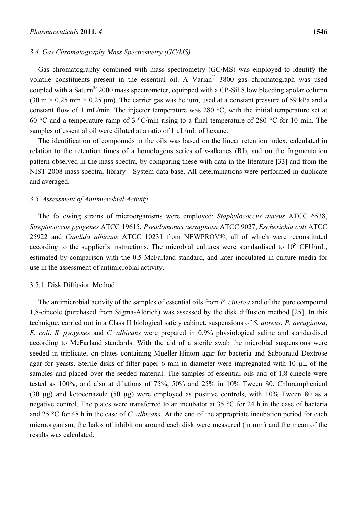#### *3.4. Gas Chromatography Mass Spectrometry (GC/MS)*

Gas chromatography combined with mass spectrometry (GC/MS) was employed to identify the volatile constituents present in the essential oil. A Varian® 3800 gas chromatograph was used coupled with a Saturn® 2000 mass spectrometer, equipped with a CP-Sil 8 low bleeding apolar column (30 m  $\times$  0.25 mm  $\times$  0.25 µm). The carrier gas was helium, used at a constant pressure of 59 kPa and a constant flow of 1 mL/min. The injector temperature was 280 °C, with the initial temperature set at 60 °C and a temperature ramp of 3 °C/min rising to a final temperature of 280 °C for 10 min. The samples of essential oil were diluted at a ratio of 1  $\mu$ L/mL of hexane.

The identification of compounds in the oils was based on the linear retention index, calculated in relation to the retention times of a homologous series of *n*-alkanes (RI), and on the fragmentation pattern observed in the mass spectra, by comparing these with data in the literature [33] and from the NIST 2008 mass spectral library—System data base. All determinations were performed in duplicate and averaged.

#### *3.5. Assessment of Antimicrobial Activity*

The following strains of microorganisms were employed: *Staphylococcus aureus* ATCC 6538, *Streptococcus pyogenes* ATCC 19615, *Pseudomonas aeruginosa* ATCC 9027, *Escherichia coli* ATCC 25922 and *Candida albicans* ATCC 10231 from NEWPROV®, all of which were reconstituted according to the supplier's instructions. The microbial cultures were standardised to  $10^8$  CFU/mL, estimated by comparison with the 0.5 McFarland standard, and later inoculated in culture media for use in the assessment of antimicrobial activity.

## 3.5.1. Disk Diffusion Method

The antimicrobial activity of the samples of essential oils from *E. cinerea* and of the pure compound 1,8-cineole (purchased from Sigma-Aldrich) was assessed by the disk diffusion method [25]. In this technique, carried out in a Class II biological safety cabinet, suspensions of *S. aureus*, *P. aeruginosa*, *E. coli*, *S. pyogenes* and *C. albicans* were prepared in 0.9% physiological saline and standardised according to McFarland standards. With the aid of a sterile swab the microbial suspensions were seeded in triplicate, on plates containing Mueller-Hinton agar for bacteria and Sabouraud Dextrose agar for yeasts. Sterile disks of filter paper 6 mm in diameter were impregnated with 10 µL of the samples and placed over the seeded material. The samples of essential oils and of 1,8-cineole were tested as 100%, and also at dilutions of 75%, 50% and 25% in 10% Tween 80. Chloramphenicol (30 µg) and ketoconazole (50 µg) were employed as positive controls, with 10% Tween 80 as a negative control. The plates were transferred to an incubator at 35 °C for 24 h in the case of bacteria and 25 °C for 48 h in the case of *C. albicans*. At the end of the appropriate incubation period for each microorganism, the halos of inhibition around each disk were measured (in mm) and the mean of the results was calculated.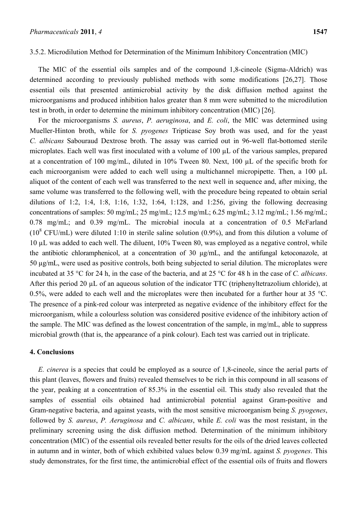# 3.5.2. Microdilution Method for Determination of the Minimum Inhibitory Concentration (MIC)

The MIC of the essential oils samples and of the compound 1,8-cineole (Sigma-Aldrich) was determined according to previously published methods with some modifications [26,27]. Those essential oils that presented antimicrobial activity by the disk diffusion method against the microorganisms and produced inhibition halos greater than 8 mm were submitted to the microdilution test in broth, in order to determine the minimum inhibitory concentration (MIC) [26].

For the microorganisms *S. aureus*, *P. aeruginosa*, and *E. coli*, the MIC was determined using Mueller-Hinton broth, while for *S. pyogenes* Tripticase Soy broth was used, and for the yeast *C. albicans* Sabouraud Dextrose broth. The assay was carried out in 96-well flat-bottomed sterile microplates. Each well was first inoculated with a volume of 100 µL of the various samples, prepared at a concentration of 100 mg/mL, diluted in 10% Tween 80. Next, 100 µL of the specific broth for each microorganism were added to each well using a multichannel micropipette. Then, a 100 µL aliquot of the content of each well was transferred to the next well in sequence and, after mixing, the same volume was transferred to the following well, with the procedure being repeated to obtain serial dilutions of 1:2, 1:4, 1:8, 1:16, 1:32, 1:64, 1:128, and 1:256, giving the following decreasing concentrations of samples: 50 mg/mL; 25 mg/mL; 12.5 mg/mL; 6.25 mg/mL; 3.12 mg/mL; 1.56 mg/mL; 0.78 mg/mL; and 0.39 mg/mL. The microbial inocula at a concentration of 0.5 McFarland  $(10^8 \text{ CFU/mL})$  were diluted 1:10 in sterile saline solution  $(0.9\%)$ , and from this dilution a volume of 10 µL was added to each well. The diluent, 10% Tween 80, was employed as a negative control, while the antibiotic chloramphenicol, at a concentration of 30 µg/mL, and the antifungal ketoconazole, at 50 µg/mL, were used as positive controls, both being subjected to serial dilution. The microplates were incubated at 35 °C for 24 h, in the case of the bacteria, and at 25 °C for 48 h in the case of *C. albicans*. After this period 20 µL of an aqueous solution of the indicator TTC (triphenyltetrazolium chloride), at 0.5%, were added to each well and the microplates were then incubated for a further hour at 35 °C. The presence of a pink-red colour was interpreted as negative evidence of the inhibitory effect for the microorganism, while a colourless solution was considered positive evidence of the inhibitory action of the sample. The MIC was defined as the lowest concentration of the sample, in mg/mL, able to suppress microbial growth (that is, the appearance of a pink colour). Each test was carried out in triplicate.

# **4. Conclusions**

*E. cinerea* is a species that could be employed as a source of 1,8-cineole, since the aerial parts of this plant (leaves, flowers and fruits) revealed themselves to be rich in this compound in all seasons of the year, peaking at a concentration of 85.3% in the essential oil. This study also revealed that the samples of essential oils obtained had antimicrobial potential against Gram-positive and Gram-negative bacteria, and against yeasts, with the most sensitive microorganism being *S. pyogenes*, followed by *S. aureus*, *P. Aeruginosa* and *C. albicans*, while *E. coli* was the most resistant, in the preliminary screening using the disk diffusion method. Determination of the minimum inhibitory concentration (MIC) of the essential oils revealed better results for the oils of the dried leaves collected in autumn and in winter, both of which exhibited values below 0.39 mg/mL against *S. pyogenes*. This study demonstrates, for the first time, the antimicrobial effect of the essential oils of fruits and flowers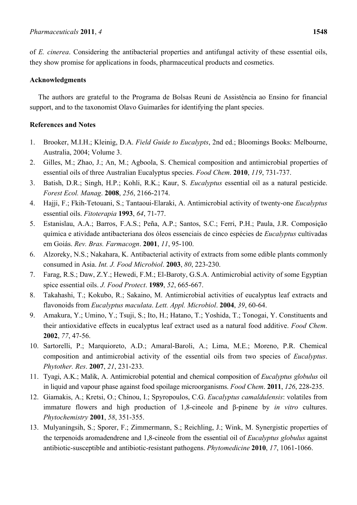of *E. cinerea*. Considering the antibacterial properties and antifungal activity of these essential oils, they show promise for applications in foods, pharmaceutical products and cosmetics.

# **Acknowledgments**

The authors are grateful to the Programa de Bolsas Reuni de Assistência ao Ensino for financial support, and to the taxonomist Olavo Guimarães for identifying the plant species.

# **References and Notes**

- 1. Brooker, M.I.H.; Kleinig, D.A. *Field Guide to Eucalypts*, 2nd ed.; Bloomings Books: Melbourne, Australia, 2004; Volume 3.
- 2. Gilles, M.; Zhao, J.; An, M.; Agboola, S. Chemical composition and antimicrobial properties of essential oils of three Australian Eucalyptus species. *Food Chem*. **2010**, *119*, 731-737.
- 3. Batish, D.R.; Singh, H.P.; Kohli, R.K.; Kaur, S. *Eucalyptus* essential oil as a natural pesticide. *Forest Ecol. Manag*. **2008**, *256*, 2166-2174.
- 4. Hajji, F.; Fkih-Tetouani, S.; Tantaoui-Elaraki, A. Antimicrobial activity of twenty-one *Eucalyptus* essential oils. *Fitoterapia* **1993**, *64*, 71-77.
- 5. Estanislau, A.A.; Barros, F.A.S.; Peña, A.P.; Santos, S.C.; Ferri, P.H.; Paula, J.R. Composição química e atividade antibacteriana dos óleos essenciais de cinco espécies de *Eucalyptus* cultivadas em Goiás. *Rev. Bras. Farmacogn*. **2001**, *11*, 95-100.
- 6. Alzoreky, N.S.; Nakahara, K. Antibacterial activity of extracts from some edible plants commonly consumed in Asia. *Int. J. Food Microbiol*. **2003**, *80*, 223-230.
- 7. Farag, R.S.; Daw, Z.Y.; Hewedi, F.M.; El-Baroty, G.S.A. Antimicrobial activity of some Egyptian spice essential oils. *J. Food Protect*. **1989**, *52*, 665-667.
- 8. Takahashi, T.; Kokubo, R.; Sakaino, M. Antimicrobial activities of eucalyptus leaf extracts and flavonoids from *Eucalyptus maculata*. *Lett. Appl. Microbiol*. **2004**, *39*, 60-64.
- 9. Amakura, Y.; Umino, Y.; Tsuji, S.; Ito, H.; Hatano, T.; Yoshida, T.; Tonogai, Y. Constituents and their antioxidative effects in eucalyptus leaf extract used as a natural food additive. *Food Chem*. **2002**, *77*, 47-56.
- 10. Sartorelli, P.; Marquioreto, A.D.; Amaral-Baroli, A.; Lima, M.E.; Moreno, P.R. Chemical composition and antimicrobial activity of the essential oils from two species of *Eucalyptus*. *Phytother. Res*. **2007**, *21*, 231-233.
- 11. Tyagi, A.K.; Malik, A. Antimicrobial potential and chemical composition of *Eucalyptus globulus* oil in liquid and vapour phase against food spoilage microorganisms. *Food Chem*. **2011**, *126*, 228-235.
- 12. Giamakis, A.; Kretsi, O.; Chinou, I.; Spyropoulos, C.G. *Eucalyptus camaldulensis*: volatiles from immature flowers and high production of 1,8-cineole and β-pinene by *in vitro* cultures. *Phytochemistry* **2001**, *58*, 351-355.
- 13. Mulyaningsih, S.; Sporer, F.; Zimmermann, S.; Reichling, J.; Wink, M. Synergistic properties of the terpenoids aromadendrene and 1,8-cineole from the essential oil of *Eucalyptus globulus* against antibiotic-susceptible and antibiotic-resistant pathogens. *Phytomedicine* **2010**, *17*, 1061-1066.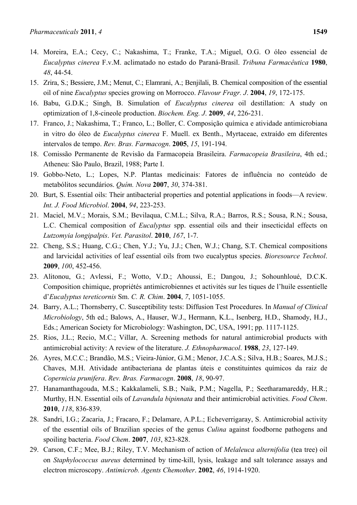- 14. Moreira, E.A.; Cecy, C.; Nakashima, T.; Franke, T.A.; Miguel, O.G. O óleo essencial de *Eucalyptus cinerea* F.v.M. aclimatado no estado do Paraná-Brasil. *Tribuna Farmacêutica* **1980**, *48*, 44-54.
- 15. Zrira, S.; Bessiere, J.M.; Menut, C.; Elamrani, A.; Benjilali, B. Chemical composition of the essential oil of nine *Eucalyptus* species growing on Morrocco. *Flavour Fragr. J*. **2004**, *19*, 172-175.
- 16. Babu, G.D.K.; Singh, B. Simulation of *Eucalyptus cinerea* oil destillation: A study on optimization of 1,8-cineole production. *Biochem. Eng. J*. **2009**, *44*, 226-231.
- 17. Franco, J.; Nakashima, T.; Franco, L.; Boller, C. Composição química e atividade antimicrobiana in vitro do óleo de *Eucalyptus cinerea* F. Muell. ex Benth., Myrtaceae, extraído em diferentes intervalos de tempo. *Rev. Bras. Farmacogn*. **2005**, *15*, 191-194.
- 18. Comissão Permanente de Revisão da Farmacopeia Brasileira. *Farmacopeia Brasileira*, 4th ed.; Atheneu: São Paulo, Brazil, 1988; Parte I.
- 19. Gobbo-Neto, L.; Lopes, N.P. Plantas medicinais: Fatores de influência no conteúdo de metabólitos secundários. *Quím. Nova* **2007**, *30*, 374-381.
- 20. Burt, S. Essential oils: Their antibacterial properties and potential applications in foods—A review. *Int. J. Food Microbiol*. **2004**, *94*, 223-253.
- 21. Maciel, M.V.; Morais, S.M.; Bevilaqua, C.M.L.; Silva, R.A.; Barros, R.S.; Sousa, R.N.; Sousa, L.C. Chemical composition of *Eucalyptus* spp. essential oils and their insecticidal effects on *Lutzomyia longipalpis*. *Vet. Parasitol*. **2010**, *167*, 1-7.
- 22. Cheng, S.S.; Huang, C.G.; Chen, Y.J.; Yu, J.J.; Chen, W.J.; Chang, S.T. Chemical compositions and larvicidal activities of leaf essential oils from two eucalyptus species. *Bioresource Technol*. **2009**, *100*, 452-456.
- 23. Alitonou, G.; Avlessi, F.; Wotto, V.D.; Ahoussi, E.; Dangou, J.; Sohounhloué, D.C.K. Composition chimique, propriétés antimicrobiennes et activités sur les tiques de l'huile essentielle d'*Eucalyptus tereticornis* Sm. *C. R. Chim*. **2004**, *7*, 1051-1055.
- 24. Barry, A.L.; Thornsberry, C. Susceptibility tests: Diffusion Test Procedures. In *Manual of Clinical Microbiology*, 5th ed.; Balows, A., Hauser, W.J., Hermann, K.L., Isenberg, H.D., Shamody, H.J., Eds.; American Society for Microbiology: Washington, DC, USA, 1991; pp. 1117-1125.
- 25. Rios, J.L.; Recio, M.C.; Villar, A. Screening methods for natural antimicrobial products with antimicrobial activity: A review of the literature. *J. Ethnopharmacol*. **1988**, *23*, 127-149.
- 26. Ayres, M.C.C.; Brandão, M.S.; Vieira-Júnior, G.M.; Menor, J.C.A.S.; Silva, H.B.; Soares, M.J.S.; Chaves, M.H. Atividade antibacteriana de plantas úteis e constituintes químicos da raiz de *Copernicia prunifera*. *Rev. Bras. Farmacogn*. **2008**, *18*, 90-97.
- 27. Hanamanthagouda, M.S.; Kakkalameli, S.B.; Naik, P.M.; Nagella, P.; Seetharamareddy, H.R.; Murthy, H.N. Essential oils of *Lavandula bipinnata* and their antimicrobial activities. *Food Chem*. **2010**, *118*, 836-839.
- 28. Sandri, I.G.; Zacaria, J.; Fracaro, F.; Delamare, A.P.L.; Echeverrigaray, S. Antimicrobial activity of the essential oils of Brazilian species of the genus *Culina* against foodborne pathogens and spoiling bacteria. *Food Chem*. **2007**, *103*, 823-828.
- 29. Carson, C.F.; Mee, B.J.; Riley, T.V. Mechanism of action of *Melaleuca alternifolia* (tea tree) oil on *Staphylococcus aureus* determined by time-kill, lysis, leakage and salt tolerance assays and electron microscopy. *Antimicrob. Agents Chemother*. **2002**, *46*, 1914-1920.